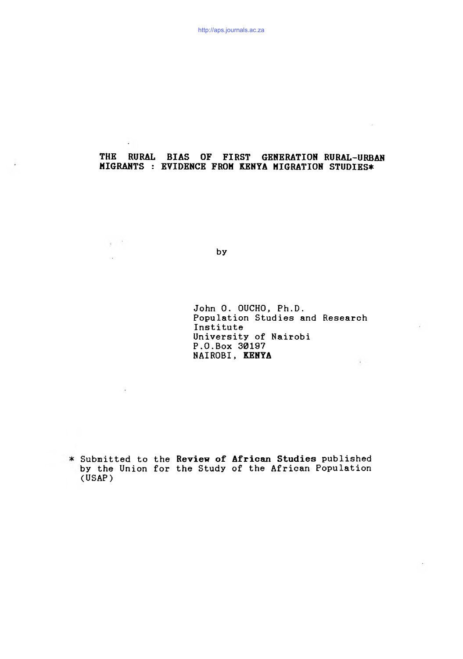# THE RURAL BIAS OF FIRST GENERATION RURAL-URBAN MIGRANTS : EVIDENCE FROM KENYA MIGRATION STUDIES\*

by

 $\frac{1}{2}$  ,  $\frac{1}{2}$  ,

 $\sim$ 

 $\lambda$ 

John 0. OUCHO, Ph.D. Population Studies and Research Institute University of Nairobi P.O.Box 30197 NAIROBI, KENYA  $\sim 10^{-1}$ 

Submitted to the Review of African Studies published by the Union for the Study of the African Population (USAP)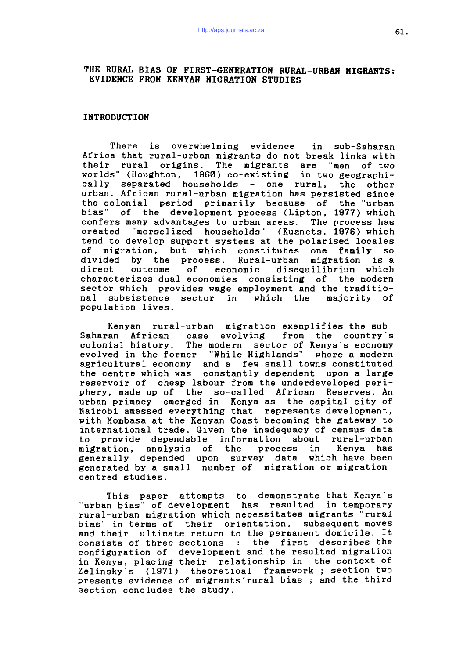# THE RURAL BIAS OF FIRST-GENERATION RURAL-URBAN MIGRANTS: EVIDENCE FROM KENYAN HIGRATION STUDIES

#### INTRODUCTION

There is overwhelming evidence in sub-Saharan Africa that rural-urban migrants do not break links with their rural origins. The migrants are "men of two worlds" (Houghton, 1960) co-existing in two geographically separated households - one rural, the other urban. African rural-urban migration has persisted since the colonial period primarily because of the "urban bias" of the development process (Lipton, 1977) which confers many advantages to urban areas. The process has created "morselized households" (Kuznets, 1976) which tend to develop support systems at the polarised locales of migration, but which constitutes one family so divided by the process. Rural-urban migration is a direct outcome of economic disequilibrium which characterizes dual economies consisting of the modern sector which provides wage employment and the traditional subsistence sector in which the majority of population lives.

Kenyan rural-urban migration exemplifies the sub-Saharan African case evolving from the country's colonial history. The modern sector of Kenya's economy evolved in the former "While Highlands" where a modern agricultural economy and a few small towns constituted the centre which was constantly dependent upon a large reservoir of cheap labour from the underdeveloped periphery, made up of the so-called African Reserves. An urban primacy emerged in Kenya as the capital city of Nairobi amassed everything that represents development, with Mombasa at the Kenyan Coast becoming the gateway to international trade. Given the inadequacy of census data to provide dependable information about rural-urban migration, analysis of the process in Kenya has generally depended upon survey data which have been generated by a small number of migration or migrationcentred studies.

This paper attempts to demonstrate that Kenya's "urban bias" of development has resulted in temporary rural-urban migration which necessitates migrants "rural bias" in terms of their orientation, subsequent moves and their ultimate return to the permanent domicile. It consists of three sections : the first describes the configuration of development and the resulted migration in Kenya, placing their relationship in the context of Zelinsky's (1971) theoretical framework; section two presents evidence of migrants rural bias; and the third section concludes the study.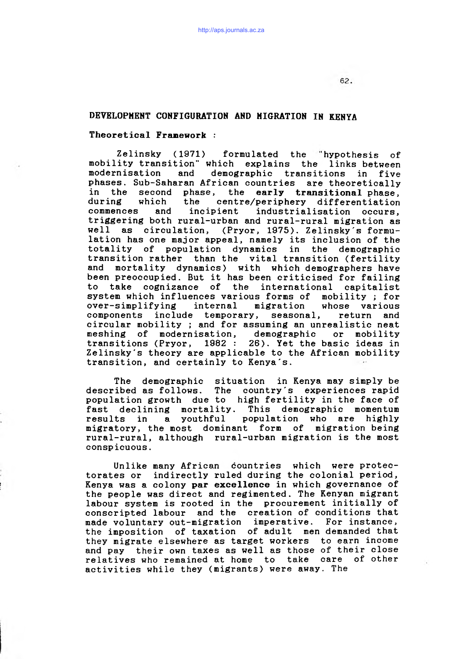## DEVELOPMENT CONFIGURATION AND MIGRATION IN KENYA

## Theoretical Framework :

Zelinsky (1971) formulated the 'hypothesis of mobility transition" which explains the links between modernisation and demographic transitions in five phases. Sub-Saharan African countries are theoretically in the second phase, the early transitional phase, during which the centre/periphery differentiation<br>commences and incipient industrialisation occurs. commences and incipient industrialisation occurs, triggering both rural-urban and rural-rural migration as well as circulation, (Pryor, 1975). Zelinsky's formulation has one major appeal, namely its inclusion of the totality of population dynamics in the demographic transition rather than the vital transition (fertility and mortality dynamics) with which demographers have been preoccupied. But it has been criticised for failing to take cognizance of the international capitalist system which influences various forms of mobility; for over-simplifying internal migration whose various components include temporary, seasonal, return and circular mobility *;* and for assuming an unrealistic neat meshing of modernisation, demographic or mobility transitions (Pryor,  $1982: 26$ ). Yet the basic ideas in Zelinsky's theory are applicable to the African mobility transition, and certainly to Kenya's.

The demographic situation in Kenya may simply be described as follows. The country's experiences rapid population growth due to high fertility in the face of fast declining mortality. This demographic momentum results in a youthful population who are highly migratory, the most dominant form of migration being rural-rural, although rural-urban migration is the most conspicuous.

Unlike many African countries which were protectorates or indirectly ruled during the colonial period, Kenya was a colony par excellence in which governance of the people was direct and regimented. The Kenyan migrant labour system is rooted in the procurement initially of conscripted labour and the creation of conditions that made voluntary out-migration imperative. For instance, the imposition of taxation of adult men demanded that they migrate elsewhere as target workers to earn income and pay their own taxes as well as those of their close relatives who remained at home to take care of other activities while they (migrants) were away. The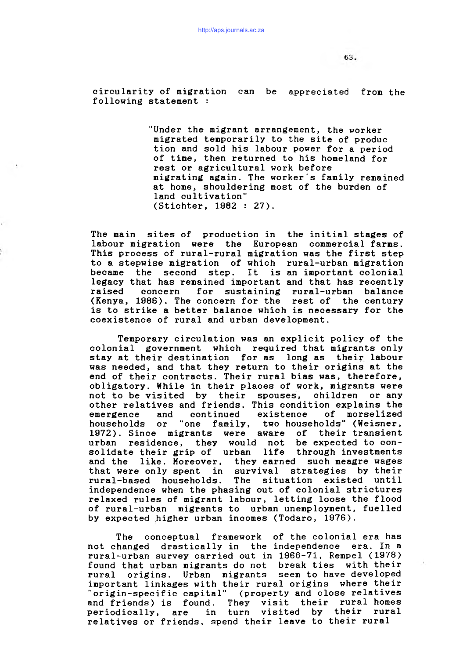circularity of migration can be appreciated from the following statement :

> "Under the migrant arrangement, the worker migrated temporarily to the site of produc tion and sold his labour power for a period of time, then returned to his homeland for rest or agricultural work before migrating again. The worker's family remained at home, shouldering most of the burden of land cultivation" (Stichter, 1982 : 27).

The main sites of production in the initial stages of labour migration were the European commercial farms. This process of rural-rural migration was the first step to a stepwise migration of which rural-urban migration became the second step. It is an important colonial legacy that has remained important and that has recently raised concern for sustaining rural-urban balance (Kenya, 1986). The concern for the rest of the century is to strike a better balance which is necessary for the coexistence of rural and urban development.

Temporary circulation was an explicit policy of the colonial government which required that migrants only stay at their destination for as long as their labour was needed, and that they return to their origins at the end of their contracts. Their rural bias was, therefore, obligatory. While in their places of work, migrants were not to be visited by their spouses, children or any other relatives and friends. This condition explains the emergence and continued existence of morselized households or "one family, two households" (Weisner, 1972). Since migrants were aware of their transient urban residence, they would not be expected to consolidate their grip of urban life through investments and the like. Moreover, they earned such meagre wages that were only spent in survival strategies by their rural-based households. The situation existed until independence when the phasing out of colonial strictures relaxed rules of migrant labour, letting loose the flood of rural-urban migrants to urban unemployment, fuelled by expected higher urban incomes (Todaro, 1976).

The conceptual framework of the colonial era has not changed drastically in the independence era. In a rural-urban survey carried out in 1968-71, Rempel (1978) found that urban migrants do not break ties with their rural origins. Urban migrants seem to have developed important linkages with their rural origins where their "origin-specific capital" (property and close relatives and friends) is found. They visit their rural homes periodically, are in turn visited by their rural relatives or friends, spend their leave to their rural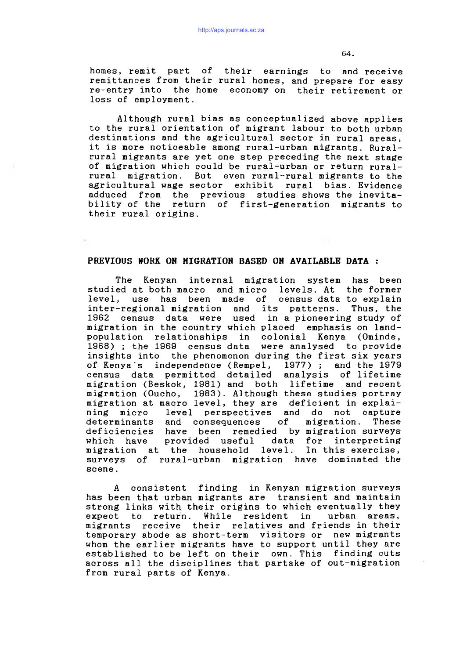homes, remit part of their earnings to and receive remittances from their rural homes, and prepare for easy re-entry into the home economy on their retirement or loss of employment.

Although rural bias as conceptualized above applies to the rural orientation of migrant labour to both urban destinations and the agricultural sector in rural areas, it is more noticeable among rural-urban migrants. Ruralrural migrants are yet one step preceding the next stage of migration which could be rural-urban or return ruralrural migration. But even rural-rural migrants to the agricultural wage sector exhibit rural bias. Evidence adduced from the previous studies shows the inevitability of the return of first-generation migrants to their rural origins.

## PREVIOUS WORK ON MIGRATION BASED ON AVAILABLE DATA :

The Kenyan internal migration system has been studied at both macro and micro levels. At the former level, use has been made of census data to explain inter-regional migration and its patterns. Thus, the 1962 census data were used in a pioneering study of migration in the country which placed emphasis on landpopulation relationships in colonial Kenya (Ominde, 1968) ; the 1969 census data were analysed to provide insights into the phenomenon during the first six years of Kenya's independence (Rempel, 1977); and the 1979 census data permitted detailed analysis of lifetime migration (Beskok, 1981) and both lifetime and recent migration (Oucho, 1983). Although these studies portray migration at macro level, they are deficient in explaining micro level perspectives and do not capture determinants and consequences of migration. These deficiencies have been remedied by migration surveys which have provided useful data for interpreting migration at the household level. In this exercise, surveys of rural-urban migration have dominated the scene.

A consistent finding in Kenyan migration surveys has been that urban migrants are transient and maintain strong links with their origins to which eventually they expect to return. While resident in urban areas, migrants receive their relatives and friends in their temporary abode as short-term visitors or new migrants whom the earlier migrants have to support until they are established to be left on their own. This finding cuts across all the disciplines that partake of out-migration from rural parts of Kenya.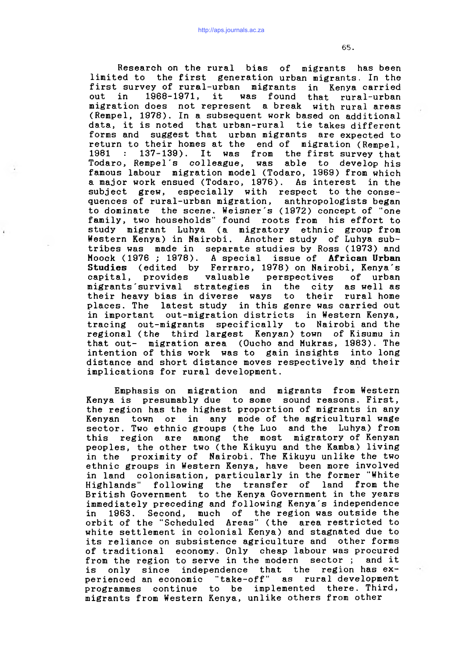Research on the rural bias of migrants has been limited to the first generation urban migrants. In the first survey of rural-urban migrants in Kenya carried out in 1968-1971, it was found that rural-urban migration does not represent a break with rural areas (Rempel, 1978). In a subsequent work based on additional data, it is noted that urban-rural tie takes different forms and suggest that urban migrants are expected to return to their homes at the end of migration (Rempel,  $1981$  :  $137-139$ ). It was from the first survey that Todaro, Rempel's colleague, was able to develop his famous labour migration model (Todaro, 1969) from which a major work ensued (Todaro, 1976). As interest in the subject grew, especially with respect to the consequences of rural-urban migration, anthropologists began to dominate the scene. Weisner's (1972) concept of "one family, two households" found roots from his effort to study migrant Luhya (a migratory ethnic group from Western Kenya) in Nairobi. Another study of Luhya subtribes was made in separate studies by Ross (1973) and Moock (1976 ; 1978). A special issue of African Urban Studies (edited by Ferraro, 1978) on Nairobi, Kenya's capital, provides valuable perspectives of urban migrants'survival strategies in the city as well as their heavy bias in diverse ways to their rural home places. The latest study in this genre was carried out in important out-migration districts in Western Kenya, tracing out-migrants specifically to Nairobi and the regional (the third largest Kenyan) town of Kisumu in that out- migration area (Oucho and Mukras, 1983). The intention of this work was to gain insights into long distance and short distance moves respectively and their implications for rural development.

Emphasis on migration and migrants from Western Kenya is presumably due to some sound reasons. First, the region has the highest proportion of migrants in any Kenyan town or in any mode of the agricultural wage sector. Two ethnic groups (the Luo and the Luhya) from this region are among the most migratory of Kenyan peoples, the other two (the Kikuyu and the Kamba) living in the proximity of Nairobi. The Kikuyu unlike the two ethnic groups in Western Kenya, have been more involved in land colonisation, particularly in the former "White Highlands" following the transfer of land from the British Government to the Kenya Government in the years immediately preceding and following Kenya's independence in 1963. Second, much of the region was outside the orbit of the "Scheduled Areas" (the area restricted to white settlement in colonial Kenya) and stagnated due to its reliance on subsistence agriculture and other forms of traditional economy. Only cheap labour was procured from the region to serve in the modern sector; and it is only since independence that the region has  $ex$ perienced an economic "take-off" as rural development programmes continue to be implemented there. Third, migrants from Western Kenya, unlike others from other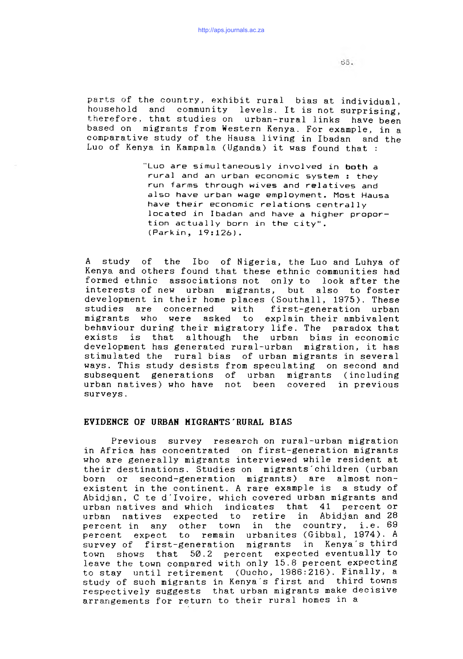parts of the country, exhibit rural bias at individual, household and community levels. It is not surprising, therefore, that studies on urban-rural links have been based on migrants from Western Kenya. For example, in a comparative study of the Hausa living in Ibadan and the Luo of Kenya in Kampala (Uganda) it was found that :

> "Luo are simultaneously involved in both a rural and an urban economic system : they run farms through wives and relatives and also have urban wage employment. Most Hausa have their economic relations centrally located in Ibadan and have a higher proportion actually born in the city". (Parkin, 19:126).

A study of the Ibo of Nigeria, the Luo and Luhya of Kenya and others found that these ethnic communities had formed ethnic associations not only to look after the interests of new urban migrants, but also to foster development in their home places (Southall, 1975). These studies are concerned with first-generation urban migrants who were asked to explain their ambivalent behaviour during their migratory life. The paradox that exists is that although the urban bias in economic development has generated rural-urban migration, it has stimulated the rural bias of urban migrants in several ways. This study desists from speculating on second and subsequent generations of urban migrants (including urban natives) who have not been covered in previous surveys.

#### EVIDENCE OF URBAN MIGRANTS'RURAL BIAS

Previous survey research on rural-urban migration in Africa has concentrated on first-generation migrants who are generally migrants interviewed while resident at their destinations. Studies on migrants'children (urban born or second-generation migrants) are almost\_nonexistent in the continent. A rare example is a study of Abidjan, C te d'Ivoire, which covered urban migrants and urban natives and which indicates that 41 percent or urban natives expected to retire in Abidjan and 28 percent in any other town in the country, i.e. 69 percent expect to remain urbanites (Gibbal, 1974). A survey of first-generation migrants in Kenya's third town shows that 50.2 percent expected eventually to leave the town compared with only 15.8 percent expecting to stay until retirement (Oucho, 1986:216). Finally, a study of such migrants in Kenya's first and third towns respectively suggests that urban migrants make decisive arrangements for return to their rural homes in a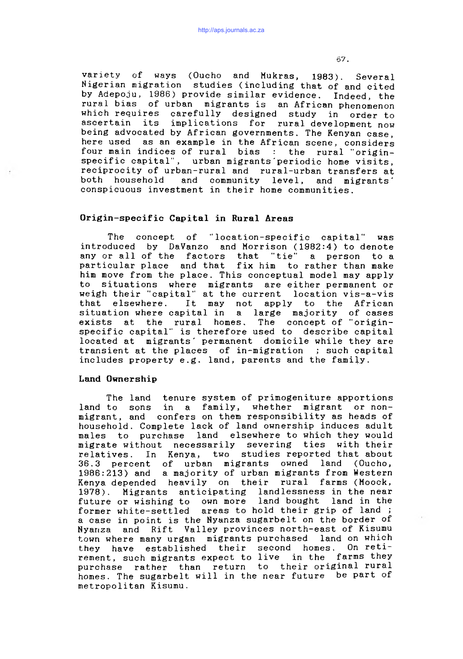variety of ways (Oucho and Mukras, 1983). Several Nigerian migration studies (including that of and cited by Adepoju, 1986) provide similar evidence. Indeed, the rural bias of urban migrants is an African phenomenon which requires carefully designed study in order to ascertain its implications for rural development now being advocated by African governments. The Kenyan case, here used as an example in the African scene, considers four main indices of rural bias : the rural "originspecific capital", urban migrants periodic home visits, reciprocity of urban-rural and rural-urban transfers at both household and community level, and migrants' conspicuous investment in their home communities.

### Origin-specific Capital in Rural Areas

The concept of "location-specific capital" was introduced by DaVanzo and Morrison (1982:4) to denote any or all of the factors that "tie" a person to a particular place and that fix him to rather than make him move from the place. This conceptual model may apply to situations where migrants are either permanent or weigh their "capital" at the current location vis-a-vis that elsewhere. It may not apply to the African situation where capital in a large majority of cases exists at the rural homes. The concept of "originspecific capital" is therefore used to describe capital located at migrants' permanent domicile while they are transient at the places of in-migration; such capital includes property e.g. land, parents and the family.

#### Land Ownership

The land tenure system of primogeniture apportions land to sons in a family, whether migrant or nonmigrant, and confers on them responsibility as heads of household. Complete lack of land ownership induces adult males to purchase land elsewhere to which they would migrate without necessarily severing ties with their relatives. In Kenya, two studies reported that about 36.3 percent of urban migrants owned land (Oucho, 1986:213) and a majority of urban migrants from Western Kenya depended heavily on their rural farms (Moock, 1978). Migrants anticipating landlessness in the near future or wishing to own more land bought land in the former white-settled areas to hold their grip of land; a case in point is the Nyanza sugarbelt on the border of Nyanza and Rift Valley provinces north-east of Kisumu town where many urgan migrants purchased land on which they have established their second homes. On retirement, such migrants expect to live in the farms they purchase rather than return to their original rural homes. The sugarbelt will in the near future be part of metropolitan Kisumu.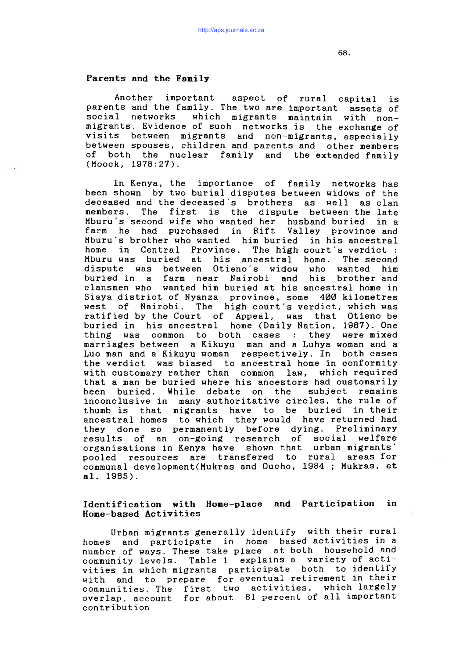### Parents and the Family

Another important aspect of rural capital is parents and the family. The two are important assets of social networks which migrants maintain with nonmigrants. Evidence of such networks is the exchange of visits between migrants and non-migrants, especially between spouses, children and parents and other members of both the nuclear family and the extended family (Moock, 1978:27).

In Kenya, the importance of family networks has been shown by two burial disputes between widows of the deceased and the deceased's brothers as well as clan members. The first is the dispute between the late Mburu s second wife who wanted her husband buried in a farm he had purchased in Rift Valley province and Mburu's brother who wanted him buried in his ancestral home in Central Province. The high court's verdict : Mburu was buried at his ancestral home. The second Otieno's widow who wanted him buried in a farm near Nairobi and his brother and clansmen who wanted him buried at his ancestral home in Siaya district of Nyanza province, some 400 kilometres west of Nairobi. The high court's verdict, which was ratified by the Court of Appeal, was that Otieno be buried in his ancestral home (Daily Nation, 1987). One thing was common to both cases : they were mixed marriages between a Kikuyu man and a Luhya woman and a Luo man and a Kikuyu woman respectively. In both cases the verdict was biased to ancestral home in conformity with customary rather than common law, which required that a man be buried where his ancestors had customarily been buried. While debate on the subject remains inconclusive in many authoritative circles, the rule of thumb is that migrants have to be buried in their ancestral homes to which they would have returned had they done so permanently before dying. Preliminary results of an on-going research of social welfare organisations in Kenya have shown that urban migrants' pooled resources are transfered to rural areas for communal development(Mukras and Oucho, 1984 ; Mukras, et al. 1985).

# Identification with Home-place and Participation in Home-based Activities

Urban migrants generally identify with their rural homes and participate in home based activities in a number of ways. These take place at both household and community levels. Table 1 explains a variety of activities in which migrants participate both to identify with and to prepare for eventual retirement in their communities. The first two activities, which largely overlap, account for about 81 percent of all important contribution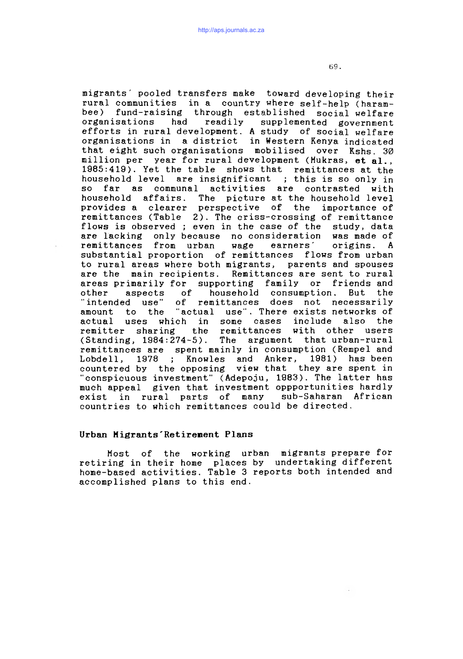migrants' pooled transfers make toward developing their rural communities in a country where self-help (harambee) fund-raising through established social welfare organisations had readily supplemented government efforts in rural development. A study of social welfare organisations in a district in Western Kenya indicated that eight such organisations mobilised over Kshs. 30 million per year for rural development (Mukras, et al., 1985:419). Yet the table shows that remittances at the household level are insignificant *;* this is so only in so far as communal activities are contrasted with household affairs. The picture at the household level provides a clearer perspective of the importance of remittances (Table 2). The criss-crossing of remittance flows is observed; even in the case of the study, data are lacking only because no consideration was made of remittances from urban wage earners' origins. A substantial proportion of remittances flows from urban to rural areas where both migrants, parents and spouses are the main recipients. Remittances are sent to rural areas primarily for supporting family or friends and other aspects of household consumption. But the "intended use" of remittances does not necessarily amount to the "actual use". There exists networks of actual uses which in some cases include also the remitter sharing the remittances with other users (Standing, 1984:274-5). The argument that urban-rural remittances are spent mainly in consumption (Rempel and Lobdell, 1978 ; Knowles and Anker, 1981) has been countered by the opposing view that they are spent in "conspicuous investment" (Adepoju, 1983). The latter has much appeal given that investment oppportunities hardly exist in rural parts of many sub-Saharan African countries to which remittances could be directed.

#### Urban Migrants'Retirenent Plans

Most of the working urban migrants prepare for retiring in their home places by undertaking different home-based activities. Table 3 reports both intended and accomplished plans to this end.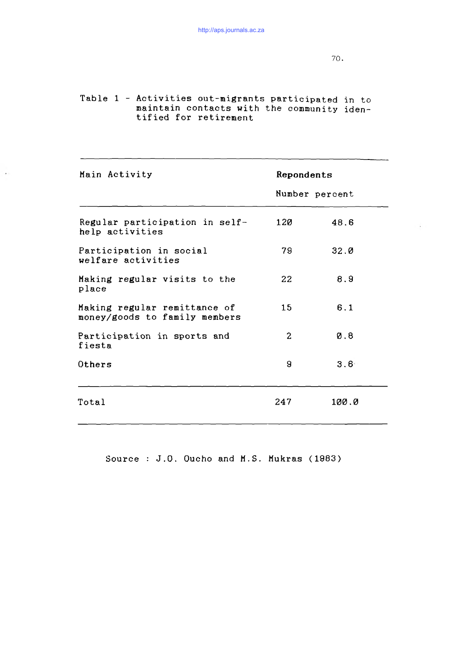Table 1 - Activities out-migrants participated in to maintain contacts with the community identified for retirement

 $\rightarrow$ 

| Main Activity                                                 |     | Repondents       |  |  |
|---------------------------------------------------------------|-----|------------------|--|--|
|                                                               |     | Number percent   |  |  |
| Regular participation in self-<br>help activities             | 120 | 48.6             |  |  |
| Participation in social<br>welfare activities                 | 79. | 32.0             |  |  |
| Making regular visits to the<br>place                         | 22  | 8.9              |  |  |
| Making regular remittance of<br>money/goods to family members | 15  | 6.1              |  |  |
| Participation in sports and<br>fiesta                         | 2   | 0.8              |  |  |
| Others                                                        | 9   | 3.6 <sup>4</sup> |  |  |
| Total                                                         | 247 | 100.0            |  |  |

Source : J.O. Oucho and M.S. Mukras  $(1983)$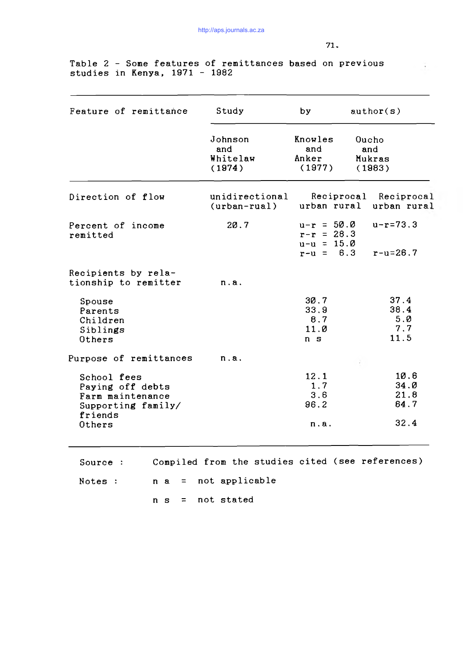Table 2 - Some features of remittances based on previous studies in Ken<mark>ya, 1971 - 1</mark>982

| Feature of remittance                                                                          | Study                                | by                                                          |  | author(s)                            |  |
|------------------------------------------------------------------------------------------------|--------------------------------------|-------------------------------------------------------------|--|--------------------------------------|--|
|                                                                                                | Johnson<br>and<br>Whitelaw<br>(1974) | Knowles<br>and<br>Anker<br>(1977)                           |  | Queho<br>and<br>Mukras<br>(1983)     |  |
| Direction of flow                                                                              | unidirectional<br>$(urban-rual)$     | urban rural                                                 |  | Reciprocal Reciprocal<br>urban rural |  |
| Percent of income<br>remitted                                                                  | 20.7                                 | $u-r = 50.0$<br>$r-r = 28.3$<br>$u-u = 15.0$<br>$r-u = 6.3$ |  | $u-r=73.3$<br>$r-u=26.7$             |  |
| Recipients by rela-<br>tionship to remitter                                                    | n.a.                                 |                                                             |  |                                      |  |
| Spouse<br>Parents<br>Children<br>Siblings<br>Others                                            |                                      | 30.7<br>33.9<br>8.7<br>11.0<br>n <sub>s</sub>               |  | 37.4<br>38.4<br>5.0<br>7.7<br>11.5   |  |
| Purpose of remittances                                                                         | n.a.                                 |                                                             |  |                                      |  |
| School fees<br>Paying off debts<br>Farm maintenance<br>Supporting family/<br>friends<br>Others |                                      | 12.1<br>1.7<br>3.6<br>96.2<br>n.a.                          |  | 10.6<br>34.0<br>21.8<br>64.7<br>32.4 |  |

Source : Compiled from the studies cited (see references)  $Notes: n a = not applicable$ 

n s = not stated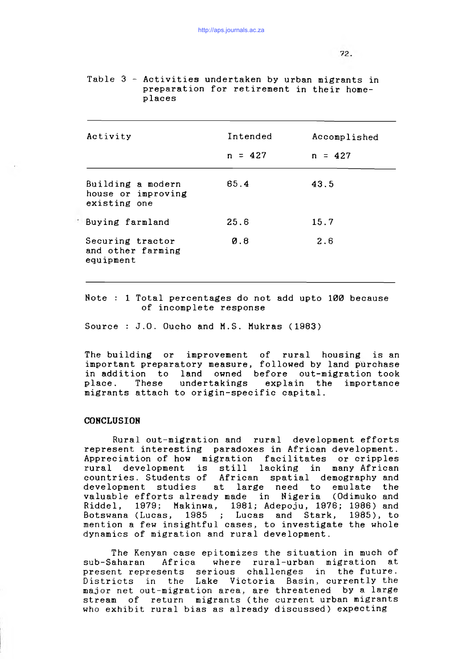| places                                                  |                               |                           |
|---------------------------------------------------------|-------------------------------|---------------------------|
| Activity                                                | Intended<br>$n = 427$         | Accomplished<br>$n = 427$ |
| Building a modern<br>house or improving<br>existing one | 65.4                          | 43.5                      |
| Buying farmland                                         | 25.6                          | 15.7                      |
| Securing tractor<br>and other farming<br>equipment      | $\boldsymbol{\varnothing}$ .8 | 2.6                       |

Table  $3$  - Activities undertaken by urban migrants in preparation for retirement in their home-

Note : 1 Total percentages do not add upto 100 because of incomplete response

Source : J.O. Oucho and M.S. Mukras  $(1983)$ 

The building or improvement of rural housing is an important preparatory measure, followed by land purchase in addition to land owned before out-migration took place. These undertakings explain the importance migrants attach to origin-specific capital.

## **CONCLUSION**

Rural out-migration and rural development efforts represent interesting paradoxes in African development. Appreciation of how migration facilitates or cripples rural development is still lacking in many African countries. Students of African spatial demography and development studies at large need to emulate the<br>valuable efforts already made in Nigeria (Odimuko and valuable efforts already made in Nigeria Riddel, 1979; Makinwa, 1981; Adepoju, 1976; 1986) and Botswana (Lucas, 1985 ; Lucas and Stark, 1985), to mention a few insightful cases, to investigate the whole dynamics of migration and rural development.

The Kenyan case epitomizes the situation in much of sub-Saharan Africa where rural-urban migration at present represents serious challenges in the future. Districts in the Lake Victoria Basin, currently the major net out-migration area, are threatened by a large stream of return migrants (the current urban migrants who exhibit rural bias as already discussed) expecting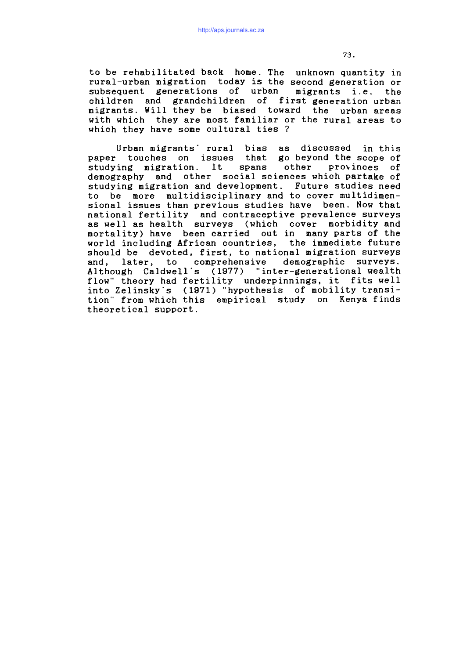to be rehabilitated back home. The unknown quantity in rural-urban migration today is the second generation or subsequent generations of urban migrants i.e. the children and grandchildren of first generation urban migrants. Hill they be biased toward the urban areas with which they are most familiar or the rural areas to which they have some cultural ties ?

Urban migrants' rural bias as discussed in this paper touches on issues that go beyond the scope of studying migration. It spans other provinces of demography and other social sciences which partake of studying migration and development. Future studies need to be more multidisciplinary and to cover multidimensional issues than previous studies have been. Now that national fertility and contraceptive prevalence surveys as well as health surveys (which cover morbidity and mortality) have been carried out in many parts of the world including African countries, the immediate future should be devoted, first, to national migration surveys and, later, to comprehensive demographic surveys. Although Caldwell's (1977) "inter-generational wealth flow" theory had fertility underpinnings, it fits well into Zelinsky's (1971) "hypothesis of mobility transition" from which this empirical study on Kenya finds theoretical support.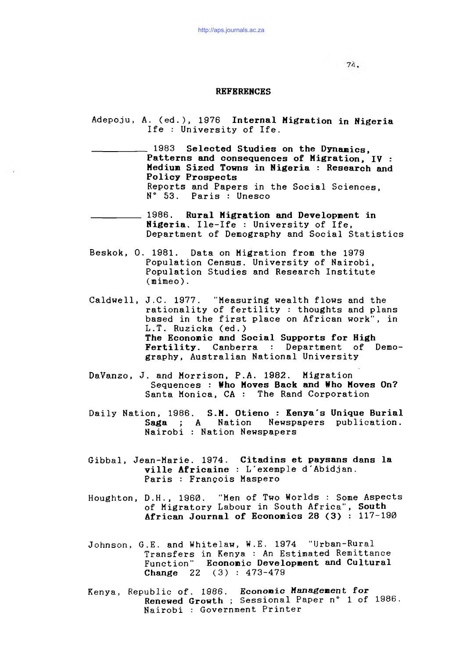### **REFERENCES**

Adepoju, A. (ed.), 1976 Internal Migration in Nigeria Ife : University of Ife.

1983 Selected Studies on the Dynamics, Patterns and consequences of Migration, IV : Medium Sized Towns in Nigeria : Research and Policy Prospects Reports and Papers in the Social Sciences,  $N^{\circ}$  53. Paris : Unesco

**1986.** Rural Migration and Development in Nigeria. I le-Ife : University of Ife, Department of Demography and Social Statistics

- Beskok, O. 1981. Data on Migration from the 1979 Population Census. University of Nairobi, Population Studies and Research Institute (mimeo).
- Caldwell, J.C. 1977. "Measuring wealth flows and the rationality of fertility : thoughts and plans based in the first place on African work", in L.T. Ruzicka (ed.) The Economic and Social Supports for High Fertility. Canberra : Department of Demography, Australian National University
- DaVanzo, J. and Morrison, P.A. 1982. Migration Sequences : Who Moves Back and Who Moves On? Santa Monica, CA : The Rand Corporation
- Daily Nation, 1986. S.**M. Otieno : Kenya's Unique Burial** Saga ; A Nation Newspapers publication. Nairobi : Nation Newspapers
- Gibbal, Jean-Marie. 1974. Citadins et paysans dans la ville Africaine : L'exemple d'Abidjan. Paris : François Maspero
- Houghton, D.H., 1960. "Men of Two Worlds : Some Aspects of Migratory Labour in South Africa", South African Journal of Economics 28  $(3)$  : 117-190
- Johnson, G.E. and Whitelaw, W.E. 1974 "Urban-Rural Transfers in Kenya : An Estimated Remittance Function" Economic Development and Cultural Change  $22 \quad (3) : 473 - 479$
- Kenya, Republic of. 1986. Economic Management for Renewed Growth; Sessional Paper n° 1 of 1986. Nairobi : Government Printer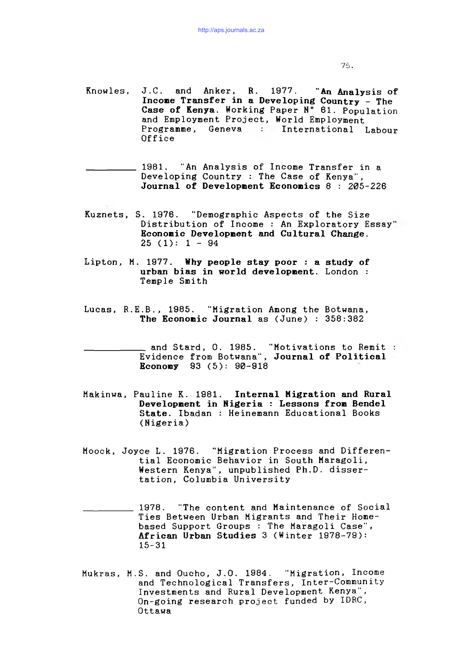Knowles, J.C. and Anker, R. 1977. "An Analysis of Incone Transfer in a Developing Country - The Case of Kenya. Working Paper N° 61. Population and Employment Project, World Employment Programme, Geneva : International Labour Of f ice

1981. "An Analysis of Income Transfer in a Developing Country : The Case of Kenya", Journal of Development Economics  $8:205-226$ 

- Kuznets, S. 1976. "Demographic Aspects of the Size Distribution of Income : An Exploratory Essay" Econonic Developnent and Cultural Change.  $25(1): 1 - 94$
- Lipton, M. 1977. Why people stay poor : a study of urban bias in world development. London : Temple Smith
- Lucas, R.E.B., 1985. "Migration Among the Botwana, The Economic Journal as  $(June)$ :  $358:382$ 
	- and Stard, O. 1985. "Motivations to Remit Evidence from Botwana", Journal of Political Econony 93 (5): 90-918
- Makinwa, Pauline K. 1981. Internal Migration and Rural Development in Nigeria : Lessons from Bendel State. Ibadan : Heinemann Educational Books (Nigeria)
- Moock, Joyce L. 1976. "Migration Process and Differential Economic Behavior in South Maragoli, Western Kenya", unpublished Ph.D. dissertation, Columbia University
- 1978. "The content and Maintenance of Social Ties Between Urban Migrants and Their Homebased Support Groups : The Maragoli Case", African Urban Studies 3 (Winter 1978-79): 15-31
- Mukras, M.S. and Oucho, J.O. 1984. "Migration, Income and Technological Transfers, Inter-Community Investments and Rural Development Kenya", On-going research project funded by IDRC, Ottawa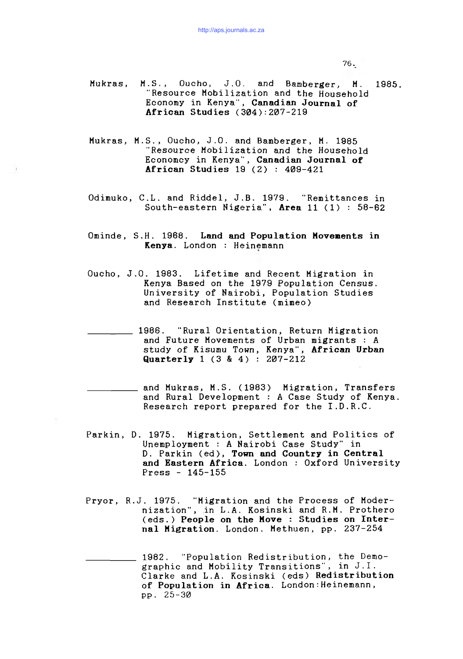- Mukras, M.S., Oucho, J.O. and Bamberger, M. 1985. "Resource Mobilization and the Household Economy in Kenya", Canadian Journal of African Studies  $(304):207-219$
- Mukras, M.S., Oucho, J.O. and Bamberger, M. 1985 "Resource Mobilization and the Household Economey in Kenya", Canadian Journal of African Studies  $19$  (2) :  $409-421$
- Odimuko, C.L. and Riddel, J.B. 1979. "Remittances in South-eastern Nigeria", Area 11  $(1)$  : 58-62
- Ominde, S.H. 1968. Land and Population Movenents in Kenya. London : Heinemann
- Oucho, J.O. 1983. Lifetime and Recent Migration in Kenya Based on the 1979 Population Census. University of Nairobi, Population Studies and Research Institute (mimeo)

1986. "Rural Orientation, Return Migration and Future Movements of Urban migrants : A study of Kisumu Town, Kenya", African Urban Quarterly  $1 (3 \& 4) : 207-212$ 

and Mukras, M.S. (1983) Migration, Transfers and Rural Development : A Case Study of Kenya. Research report prepared for the I.D.R.C.

- Parkin, D. 1975. Migration, Settlement and Politics of Unemployment : A Nairobi Case Study" in D. Parkin (ed), Town and Country in Central and Eastern Africa. London : Oxford University  $Press - 145 - 155$
- Pryor, R.J. 1975. "Migration and the Process of Modernization", in L.A. Kosinski and R.M. Prothero (eds.) People on the Move : Studies on Internal Migration. London. Methuen, pp. 237-254
	- 1982. "Population Redistribution, the Demographic and Mobility Transitions", in J.I. Clarke and L.A. Kosinski (eds) Redistribution of Population in Africa. London:Heinemann, pp. 25-30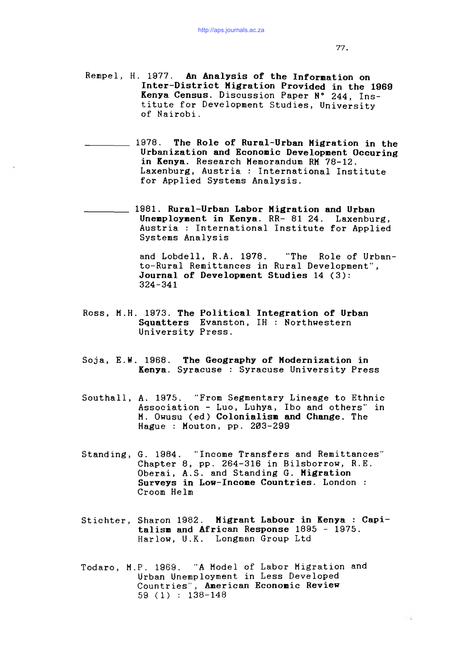Rempel, H. 1977. An Analysis of the Information on Inter-District Migration Provided in the 1969 Kenya Census. Discussion Paper N° 244, Institute for Development Studies, University of Nairobi.

1978. The Role of Rural-Urban Migration in the Urbanization and Econonic Developnent Occuring in Kenya. Research Memorandum RM 78-12. Laxenburg, Austria : International Institute for Applied Systems Analysis.

1981. Rural-Urban Labor Migration and Urban Unemployment in Kenya. RR- 81 24. Laxenburg, Austria : International Institute for Applied Systems Analysis

> and Lobdell, R.A. 1978. "The Role of Urbanto-Rural Remittances in Rural Development", Journal of Developnent Studies 14 (3): 324-341

- Ross, M.H. 1973. The Political Integration of Urban Squatters Evanston, IH : Northwestern University Press.
- Soja, E.W. 1968. The Geography of Modernization in Kenya. Syracuse : Syracuse University Press
- Southall, A. 1975. "From Segmentary Lineage to Ethnic Association - Luo, Luhya, Ibo and others" in M. Owusu (ed) Colonialism and Change. The Hague : Mouton,  $pp. 203-299$
- Standing, G. 1984. "Income Transfers and Remittances" Chapter 8, pp. 264-316 in Bilsborrow, R.E. Oberai, A.S. and Standing G. Migration Surveys in Low-Incone Countries. London : Croom Helm
- Stichter, Sharon 1982. Migrant Labour in Kenya : Capitalism and African Response 1895 - 1975. Harlow, U.K. Longman Group Ltd
- Todaro, H.P. 1969. "A Model of Labor Migration and Urban Unemployment in Less Developed Countries", American Econonic Review 59 (1) : 138-148